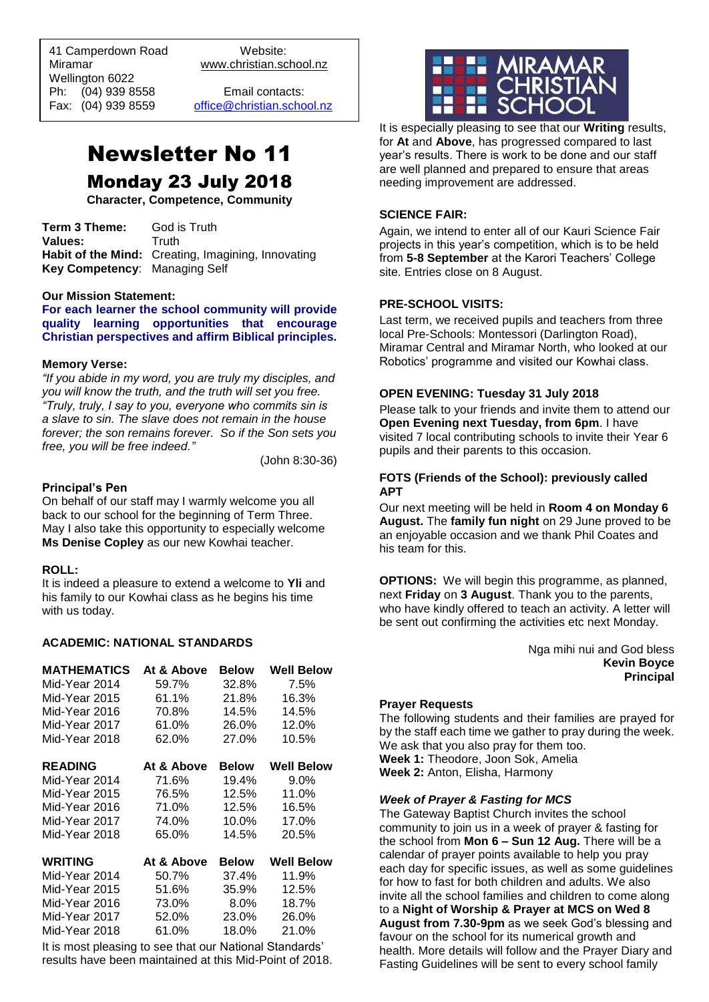41 Camperdown Road Website:<br>Miramar Www.christian.sc Wellington 6022 Ph: (04) 939 8558 Email contacts:

 $\overline{a}$ 

www.christian.school.nz

Fax: (04) 939 8559 [office@christian.school.nz](mailto:office@christian.school.nz)

# Newsletter No 11 Monday 23 July 2018

**Character, Competence, Community**

**Term 3 Theme:** God is Truth Values: Truth **Habit of the Mind:** Creating, Imagining, Innovating **Key Competency**: Managing Self

#### **Our Mission Statement:**

**For each learner the school community will provide quality learning opportunities that encourage Christian perspectives and affirm Biblical principles***.*

#### **Memory Verse:**

*"If you abide in my word, you are truly my disciples, and you will know the truth, and the truth will set you free. "Truly, truly, I say to you, everyone who commits sin is a slave to sin. The slave does not remain in the house forever; the son remains forever. So if the Son sets you free, you will be free indeed."*

(John 8:30-36)

#### **Principal's Pen**

On behalf of our staff may I warmly welcome you all back to our school for the beginning of Term Three. May I also take this opportunity to especially welcome **Ms Denise Copley** as our new Kowhai teacher.

#### **ROLL:**

It is indeed a pleasure to extend a welcome to **Yli** and his family to our Kowhai class as he begins his time with us today.

#### **ACADEMIC: NATIONAL STANDARDS**

| <b>MATHEMATICS</b> | At & Above | Below   | Well Below        |
|--------------------|------------|---------|-------------------|
| Mid-Year 2014      | 59.7%      | 32.8%   | 7.5%              |
| Mid-Year 2015      | 61.1%      | 21.8%   | 16.3%             |
| Mid-Year 2016      | 70.8%      | 14.5%   | 14.5%             |
| Mid-Year 2017      | 61.0%      | 26.0%   | 12.0%             |
| Mid-Year 2018      | 62.0%      | 27.0%   | 10.5%             |
| <b>READING</b>     | At & Above | Below   | <b>Well Below</b> |
| Mid-Year 2014      | 71.6%      | 19.4%   | $9.0\%$           |
| Mid-Year 2015      | 76.5%      | 12.5%   | 11.0%             |
| Mid-Year 2016      | 71.0%      | 12.5%   | 16.5%             |
| Mid-Year 2017      | 74.0%      | 10.0%   | 17.0%             |
| Mid-Year 2018      | 65.0%      | 14.5%   | 20.5%             |
| WRITING            | At & Above | Below   | <b>Well Below</b> |
| Mid-Year 2014      | 50.7%      | 37.4%   | 11.9%             |
| Mid-Year 2015      | 51.6%      | 35.9%   | 12.5%             |
| Mid-Year 2016      | 73.0%      | $8.0\%$ | 18.7%             |
| Mid-Year 2017      | 52.0%      | 23.0%   | 26.0%             |
| Mid-Year 2018      | 61.0%      | 18.0%   | 21.0%             |
|                    |            |         |                   |

It is most pleasing to see that our National Standards' results have been maintained at this Mid-Point of 2018.



It is especially pleasing to see that our **Writing** results, for **At** and **Above**, has progressed compared to last year's results. There is work to be done and our staff are well planned and prepared to ensure that areas needing improvement are addressed.

# **SCIENCE FAIR:**

Again, we intend to enter all of our Kauri Science Fair projects in this year's competition, which is to be held from **5-8 September** at the Karori Teachers' College site. Entries close on 8 August.

#### **PRE-SCHOOL VISITS:**

Last term, we received pupils and teachers from three local Pre-Schools: Montessori (Darlington Road), Miramar Central and Miramar North, who looked at our Robotics' programme and visited our Kowhai class.

#### **OPEN EVENING: Tuesday 31 July 2018**

Please talk to your friends and invite them to attend our **Open Evening next Tuesday, from 6pm**. I have visited 7 local contributing schools to invite their Year 6 pupils and their parents to this occasion.

#### **FOTS (Friends of the School): previously called APT**

Our next meeting will be held in **Room 4 on Monday 6 August.** The **family fun night** on 29 June proved to be an enjoyable occasion and we thank Phil Coates and his team for this.

**OPTIONS:** We will begin this programme, as planned, next **Friday** on **3 August**. Thank you to the parents, who have kindly offered to teach an activity. A letter will be sent out confirming the activities etc next Monday.

> Nga mihi nui and God bless **Kevin Boyce Principal**

#### **Prayer Requests**

The following students and their families are prayed for by the staff each time we gather to pray during the week. We ask that you also pray for them too. **Week 1:** Theodore, Joon Sok, Amelia **Week 2:** Anton, Elisha, Harmony

#### *Week of Prayer & Fasting for MCS*

The Gateway Baptist Church invites the school community to join us in a week of prayer & fasting for the school from **Mon 6 – Sun 12 Aug.** There will be a calendar of prayer points available to help you pray each day for specific issues, as well as some guidelines for how to fast for both children and adults. We also invite all the school families and children to come along to a **Night of Worship & Prayer at MCS on Wed 8 August from 7.30-9pm** as we seek God's blessing and favour on the school for its numerical growth and health. More details will follow and the Prayer Diary and Fasting Guidelines will be sent to every school family